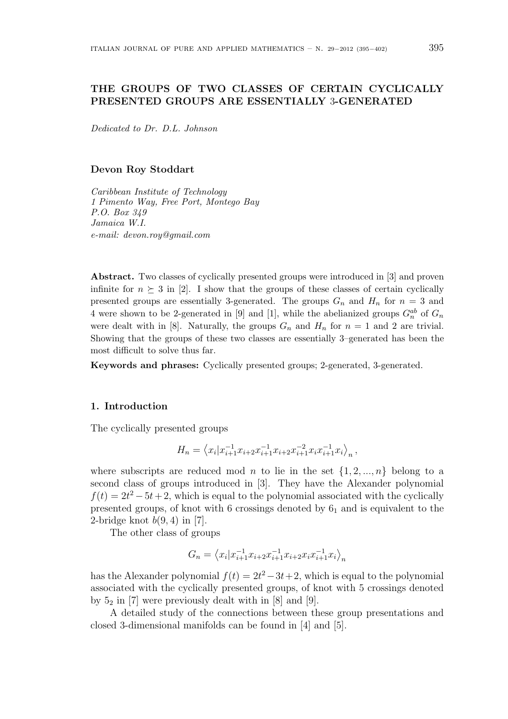## THE GROUPS OF TWO CLASSES OF CERTAIN CYCLICALLY PRESENTED GROUPS ARE ESSENTIALLY 3-GENERATED

Dedicated to Dr. D.L. Johnson

#### Devon Roy Stoddart

Caribbean Institute of Technology 1 Pimento Way, Free Port, Montego Bay P.O. Box 349 Jamaica W.I. e-mail: devon.roy@gmail.com

Abstract. Two classes of cyclically presented groups were introduced in [3] and proven infinite for  $n \geq 3$  in [2]. I show that the groups of these classes of certain cyclically presented groups are essentially 3-generated. The groups  $G_n$  and  $H_n$  for  $n = 3$  and 4 were shown to be 2-generated in [9] and [1], while the abelianized groups  $G_n^{ab}$  of  $G_n$ were dealt with in [8]. Naturally, the groups  $G_n$  and  $H_n$  for  $n = 1$  and 2 are trivial. Showing that the groups of these two classes are essentially 3–generated has been the most difficult to solve thus far.

Keywords and phrases: Cyclically presented groups; 2-generated, 3-generated.

#### 1. Introduction

The cyclically presented groups

$$
H_n = \left\langle x_i | x_{i+1}^{-1} x_{i+2} x_{i+1}^{-1} x_{i+2} x_{i+1}^{-2} x_i x_{i+1}^{-1} x_i \right\rangle_n,
$$

where subscripts are reduced mod n to lie in the set  $\{1, 2, ..., n\}$  belong to a second class of groups introduced in [3]. They have the Alexander polynomial  $f(t) = 2t^2 - 5t + 2$ , which is equal to the polynomial associated with the cyclically presented groups, of knot with  $6$  crossings denoted by  $6<sub>1</sub>$  and is equivalent to the 2-bridge knot  $b(9, 4)$  in [7].

The other class of groups

$$
G_n = \left\langle x_i | x_{i+1}^{-1} x_{i+2} x_{i+1}^{-1} x_{i+2} x_i x_{i+1}^{-1} x_i \right\rangle_n
$$

has the Alexander polynomial  $f(t) = 2t^2 - 3t + 2$ , which is equal to the polynomial associated with the cyclically presented groups, of knot with 5 crossings denoted by  $5_2$  in [7] were previously dealt with in [8] and [9].

A detailed study of the connections between these group presentations and closed 3-dimensional manifolds can be found in [4] and [5].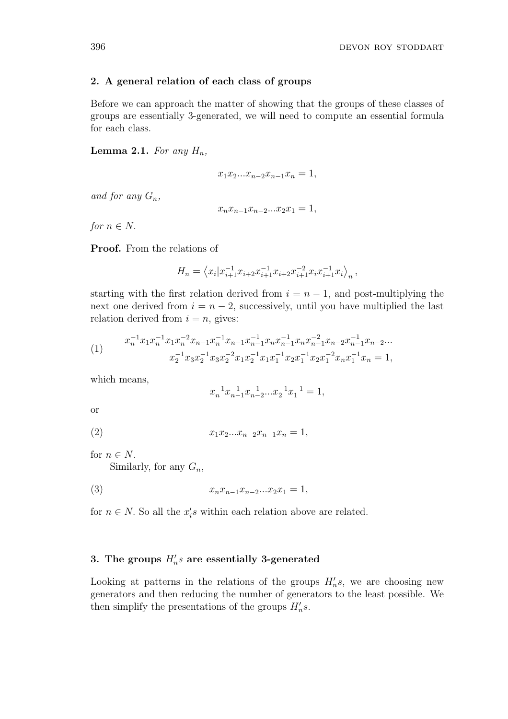## 2. A general relation of each class of groups

Before we can approach the matter of showing that the groups of these classes of groups are essentially 3-generated, we will need to compute an essential formula for each class.

**Lemma 2.1.** For any  $H_n$ ,

$$
x_1 x_2 ... x_{n-2} x_{n-1} x_n = 1,
$$

and for any  $G_n$ ,

$$
x_n x_{n-1} x_{n-2} ... x_2 x_1 = 1,
$$

for  $n \in N$ .

Proof. From the relations of

$$
H_n = \left\langle x_i | x_{i+1}^{-1} x_{i+2} x_{i+1}^{-1} x_{i+2} x_{i+1}^{-2} x_i x_{i+1}^{-1} x_i \right\rangle_n,
$$

starting with the first relation derived from  $i = n - 1$ , and post-multiplying the next one derived from  $i = n - 2$ , successively, until you have multiplied the last relation derived from  $i = n$ , gives:

(1) 
$$
x_n^{-1} x_1 x_n^{-1} x_1 x_n^{-2} x_{n-1} x_n^{-1} x_{n-1} x_{n-1}^{-1} x_n x_{n-1}^{-1} x_n x_{n-1}^{-2} x_{n-2} x_{n-1}^{-1} x_{n-2} ...
$$

$$
x_2^{-1} x_3 x_2^{-1} x_3 x_2^{-2} x_1 x_2^{-1} x_1 x_1^{-1} x_2 x_1^{-1} x_2 x_1^{-2} x_n x_1^{-1} x_n = 1,
$$

which means,

$$
x_n^{-1} x_{n-1}^{-1} x_{n-2}^{-1} \dots x_2^{-1} x_1^{-1} = 1,
$$

or

(2) 
$$
x_1 x_2 ... x_{n-2} x_{n-1} x_n = 1,
$$

for  $n \in N$ .

Similarly, for any  $G_n$ ,

(3) 
$$
x_n x_{n-1} x_{n-2} ... x_2 x_1 = 1,
$$

for  $n \in N$ . So all the  $x_i$ 's within each relation above are related.

# 3. The groups  $H_n's$  are essentially 3-generated

Looking at patterns in the relations of the groups  $H_n's$ , we are choosing new generators and then reducing the number of generators to the least possible. We then simplify the presentations of the groups  $H_n's$ .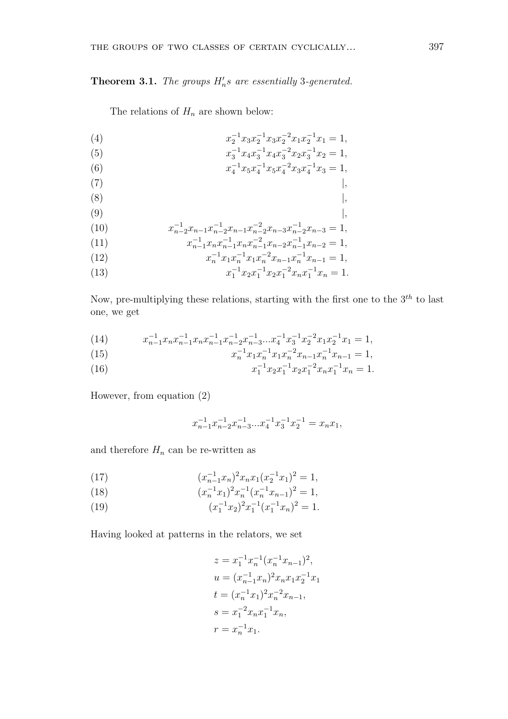# **Theorem 3.1.** The groups  $H_n's$  are essentially 3-generated.

The relations of  $H_n$  are shown below:

(4) 
$$
x_2^{-1} x_3 x_2^{-1} x_3 x_2^{-2} x_1 x_2^{-1} x_1 = 1,
$$

(5) 
$$
x_3^{-1} x_4 x_3^{-1} x_4 x_3^{-2} x_2 x_3^{-1} x_2 = 1,
$$

(6) 
$$
x_4^{-1} x_5 x_4^{-1} x_5 x_4^{-2} x_3 x_4^{-1} x_3 = 1,
$$
  
(7) 
$$
\Big|
$$

$$
\begin{array}{c}\n(8) \\
\end{array}
$$

$$
\begin{array}{c}\n(9) \\
\end{array}
$$

(10) 
$$
x_{n-2}^{-1}x_{n-1}x_{n-2}^{-1}x_{n-1}x_{n-2}^{-2}x_{n-3}x_{n-2}^{-1}x_{n-3} = 1,
$$

(11) 
$$
x_{n-1}^{-1} x_n x_{n-1}^{-1} x_n x_{n-1}^{-2} x_{n-2} x_{n-1}^{-1} x_{n-2} = 1,
$$

(12) 
$$
x_n^{-1} x_1 x_n^{-1} x_1 x_n^{-2} x_{n-1} x_n^{-1} x_{n-1} = 1,
$$

(13) 
$$
x_1^{-1} x_2 x_1^{-1} x_2 x_1^{-2} x_n x_1^{-1} x_n = 1.
$$

Now, pre-multiplying these relations, starting with the first one to the  $3^{th}$  to last one, we get

(14) 
$$
x_{n-1}^{-1}x_n x_{n-1}^{-1} x_n x_{n-1}^{-1} x_{n-2}^{-1} x_{n-3}^{-1} ... x_4^{-1} x_3^{-1} x_2^{-2} x_1 x_2^{-1} x_1 = 1,
$$

(15) 
$$
x_n^{-1} x_1 x_n^{-1} x_1 x_n^{-2} x_{n-1} x_n^{-1} x_{n-1} = 1,
$$

(16) 
$$
x_1^{-1} x_2 x_1^{-1} x_2 x_1^{-2} x_n x_1^{-1} x_n = 1.
$$

However, from equation (2)

$$
x_{n-1}^{-1}x_{n-2}^{-1}x_{n-3}^{-1}...x_4^{-1}x_3^{-1}x_2^{-1}=x_nx_1,
$$

and therefore  $H_n$  can be re-written as

(17) 
$$
(x_{n-1}^{-1}x_n)^2x_nx_1(x_2^{-1}x_1)^2=1,
$$

(18) 
$$
(x_n^{-1}x_1)^2 x_n^{-1} (x_n^{-1}x_{n-1})^2 = 1,
$$

(19)  $(x_1^{-1}x_2)^2x_1^{-1}(x_1^{-1}x_n)^2=1.$ 

Having looked at patterns in the relators, we set

$$
z = x_1^{-1} x_n^{-1} (x_n^{-1} x_{n-1})^2,
$$
  
\n
$$
u = (x_{n-1}^{-1} x_n)^2 x_n x_1 x_2^{-1} x_1
$$
  
\n
$$
t = (x_n^{-1} x_1)^2 x_n^{-2} x_{n-1},
$$
  
\n
$$
s = x_1^{-2} x_n x_1^{-1} x_n,
$$
  
\n
$$
r = x_n^{-1} x_1.
$$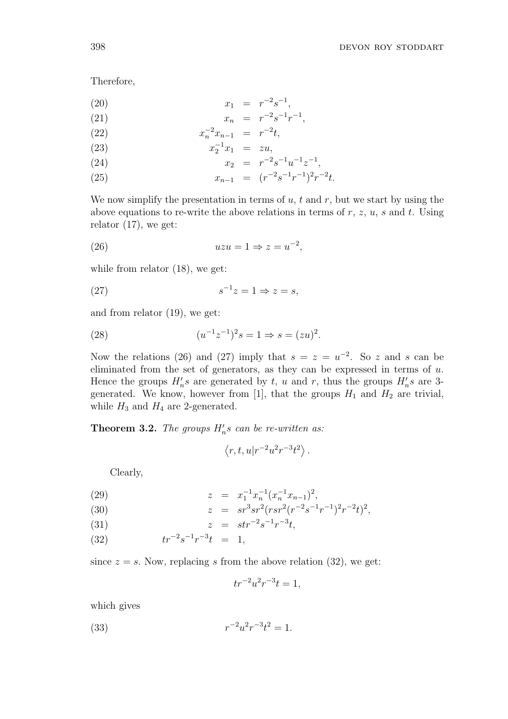Therefore,

$$
(20) \t\t x_1 = r^{-2}s^{-1},
$$

(21) 
$$
x_n = r^{-2}s^{-1}r^{-1},
$$

(22) 
$$
x_n^{-2} x_{n-1} = r^{-2} t,
$$

(23) 
$$
x_2^{-1}x_1 = zu,
$$

$$
x_2 = x_1.
$$

(24) 
$$
x_2 = r^{-2} s^{-1} u^{-1} z^{-1},
$$

(25) 
$$
x_{n-1} = (r^{-2}s^{-1}r^{-1})^2r^{-2}t.
$$

We now simplify the presentation in terms of  $u, t$  and  $r$ , but we start by using the above equations to re-write the above relations in terms of  $r, z, u, s$  and t. Using relator (17), we get:

−1

$$
(26) \t\t\t uzu = 1 \Rightarrow z = u^{-2},
$$

while from relator (18), we get:

$$
(27) \t\t s-1z = 1 \Rightarrow z = s,
$$

and from relator (19), we get:

(28) 
$$
(u^{-1}z^{-1})^2s = 1 \Rightarrow s = (zu)^2.
$$

Now the relations (26) and (27) imply that  $s = z = u^{-2}$ . So z and s can be eliminated from the set of generators, as they can be expressed in terms of  $u$ . Hence the groups  $H_n's$  are generated by t, u and r, thus the groups  $H_n's$  are 3generated. We know, however from [1], that the groups  $H_1$  and  $H_2$  are trivial, while  $H_3$  and  $H_4$  are 2-generated.

**Theorem 3.2.** The groups  $H_n's$  can be re-written as:

$$
\langle r, t, u | r^{-2} u^2 r^{-3} t^2 \rangle.
$$

Clearly,

(29) 
$$
z = x_1^{-1} x_n^{-1} (x_n^{-1} x_{n-1})^2,
$$

(30) 
$$
z = sr^3sr^2(rsr^2(r^{-2}s^{-1}r^{-1})^2r^{-2}t)^2,
$$

(31) 
$$
z = str^{-2}s^{-1}r^{-3}t,
$$

$$
(32) \t\t tr^{-2} s^{-1} r^{-3} t = 1,
$$

since  $z = s$ . Now, replacing s from the above relation (32), we get:

$$
tr^{-2}u^{2}r^{-3}t = 1,
$$

which gives

(33) 
$$
r^{-2}u^2r^{-3}t^2 = 1.
$$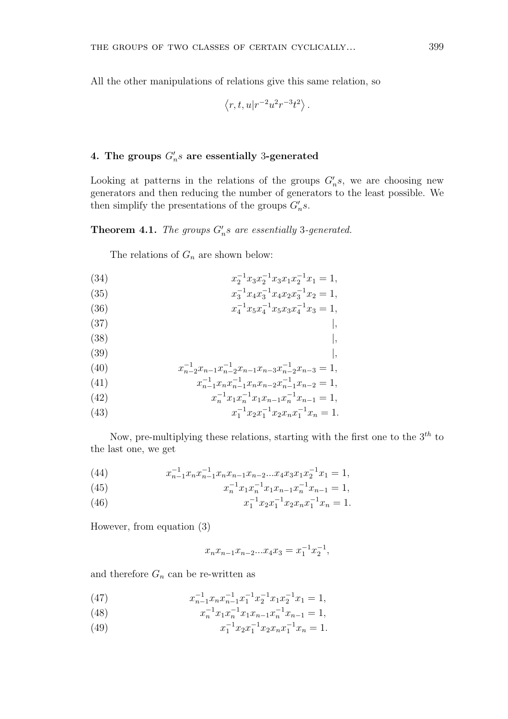All the other manipulations of relations give this same relation, so

$$
\langle r, t, u | r^{-2} u^2 r^{-3} t^2 \rangle.
$$

# 4. The groups  $G'_{n}s$  are essentially 3-generated

Looking at patterns in the relations of the groups  $G_n's$ , we are choosing new generators and then reducing the number of generators to the least possible. We then simplify the presentations of the groups  $G_n's$ .

**Theorem 4.1.** The groups  $G_n$ 's are essentially 3-generated.

The relations of  $G_n$  are shown below:

- (34)  $x_2^{-1}x_3x_2^{-1}x_3x_1x_2^{-1}x_1 = 1,$
- (35)  $x_3^{-1}x_4x_3^{-1}x_4x_2x_3^{-1}x_2 = 1,$ (36)  $x_4^{-1}x_5x_4^{-1}x_5x_3x_4^{-1}x_3 = 1,$
- 
- $(37)$  |,  $(38)$  |,
- $(39)$  |,
- (40)  $x_{n-2}^{-1}x_{n-1}x_{n-2}^{-1}x_{n-1}x_{n-3}x_{n-2}^{-1}x_{n-3} = 1,$
- (41)  $x_{n-1}^{-1}x_nx_{n-1}^{-1}x_nx_{n-2}x_{n-1}^{-1}x_{n-2} = 1,$
- (42)  $x_n^{-1} x_1 x_n^{-1} x_1 x_{n-1} x_n^{-1} x_{n-1} = 1,$
- (43)  $x_1^{-1}x_2x_1^{-1}x_2x_nx_1^{-1}x_n = 1.$

Now, pre-multiplying these relations, starting with the first one to the  $3<sup>th</sup>$  to the last one, we get

(44)  $x_{n-1}^{-1}x_nx_{n-1}^{-1}x_nx_{n-1}x_{n-2}...x_4x_3x_1x_2^{-1}x_1 = 1,$ 

(45) 
$$
x_n^{-1} x_1 x_n^{-1} x_1 x_{n-1} x_n^{-1} x_{n-1} = 1,
$$

(46) 
$$
x_1^{-1} x_2 x_1^{-1} x_2 x_n x_1^{-1} x_n = 1.
$$

However, from equation (3)

$$
x_n x_{n-1} x_{n-2} ... x_4 x_3 = x_1^{-1} x_2^{-1},
$$

and therefore  $G_n$  can be re-written as

- (47)  $x_{n-1}^{-1}x_nx_{n-1}^{-1}x_1^{-1}x_2^{-1}x_1x_2^{-1}x_1 = 1,$
- (48)  $x_n^{-1} x_1 x_n^{-1} x_1 x_{n-1} x_n^{-1} x_{n-1} = 1,$
- (49)  $x_1^{-1}x_2x_1^{-1}x_2x_nx_1^{-1}x_n = 1.$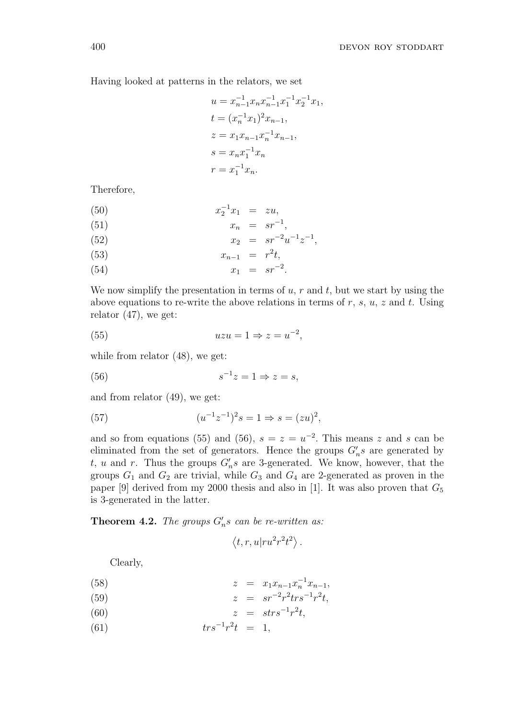Having looked at patterns in the relators, we set

$$
u = x_{n-1}^{-1} x_n x_{n-1}^{-1} x_1^{-1} x_2^{-1} x_1,
$$
  
\n
$$
t = (x_n^{-1} x_1)^2 x_{n-1},
$$
  
\n
$$
z = x_1 x_{n-1} x_n^{-1} x_{n-1},
$$
  
\n
$$
s = x_n x_1^{-1} x_n
$$
  
\n
$$
r = x_1^{-1} x_n.
$$

Therefore,

(50) 
$$
x_2^{-1}x_1 = zu,
$$

(51) 
$$
x_n = sr^{-1},
$$

$$
x_n = sr^{-2},
$$

$$
r_n = cr^{-2}r^{-1}
$$

(52) 
$$
x_2 = sr^{-2}u^{-1}z^{-1}
$$
,

(53) 
$$
x_{n-1} = r^2 t,
$$

(54)  $x_1 = sr^{-2}$ .

We now simplify the presentation in terms of  $u, r$  and  $t$ , but we start by using the above equations to re-write the above relations in terms of  $r, s, u, z$  and  $t$ . Using relator (47), we get:

(55) 
$$
uzu = 1 \Rightarrow z = u^{-2},
$$

while from relator (48), we get:

$$
(56) \t\t s-1z = 1 \Rightarrow z = s,
$$

and from relator (49), we get:

(57) 
$$
(u^{-1}z^{-1})^2s = 1 \Rightarrow s = (zu)^2,
$$

and so from equations (55) and (56),  $s = z = u^{-2}$ . This means z and s can be eliminated from the set of generators. Hence the groups  $G_n's$  are generated by t, u and r. Thus the groups  $G_n$ s are 3-generated. We know, however, that the groups  $G_1$  and  $G_2$  are trivial, while  $G_3$  and  $G_4$  are 2-generated as proven in the paper [9] derived from my 2000 thesis and also in [1]. It was also proven that  $G_5$ is 3-generated in the latter.

**Theorem 4.2.** The groups  $G_n$ 's can be re-written as:

$$
\langle t, r, u | r u^2 r^2 t^2 \rangle.
$$

Clearly,

(58) 
$$
z = x_1 x_{n-1} x_n^{-1} x_{n-1},
$$

(59) 
$$
z = sr^{-2}r^2 tr s^{-1}r^2 t,
$$

$$
(60) \qquad \qquad z = \operatorname{strs}^{-1} r^2 t,
$$

(61)  $trs^{-1}r^2t = 1,$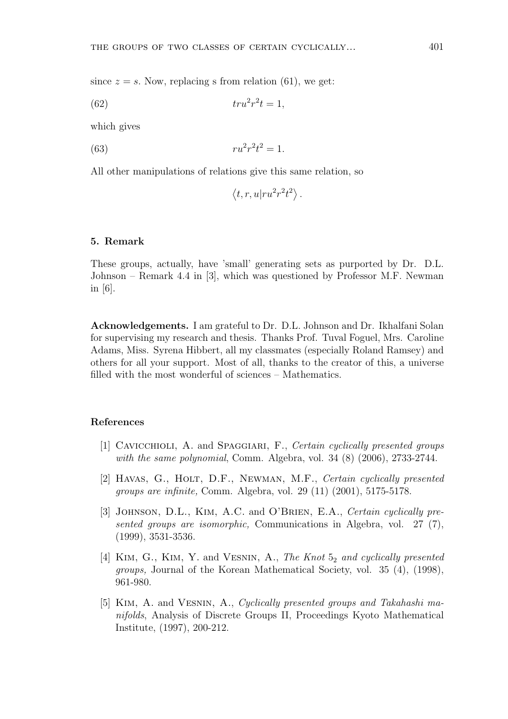since  $z = s$ . Now, replacing s from relation (61), we get:

$$
(62) \qquad \qquad tr u^2 r^2 t = 1,
$$

which gives

(63) 
$$
ru^2r^2t^2 = 1.
$$

All other manipulations of relations give this same relation, so

$$
\langle t, r, u | ru^2r^2t^2 \rangle.
$$

#### 5. Remark

These groups, actually, have 'small' generating sets as purported by Dr. D.L. Johnson – Remark 4.4 in [3], which was questioned by Professor M.F. Newman in [6].

Acknowledgements. I am grateful to Dr. D.L. Johnson and Dr. Ikhalfani Solan for supervising my research and thesis. Thanks Prof. Tuval Foguel, Mrs. Caroline Adams, Miss. Syrena Hibbert, all my classmates (especially Roland Ramsey) and others for all your support. Most of all, thanks to the creator of this, a universe filled with the most wonderful of sciences – Mathematics.

### References

- [1] Cavicchioli, A. and Spaggiari, F., Certain cyclically presented groups with the same polynomial, Comm. Algebra, vol. 34 (8) (2006), 2733-2744.
- [2] HAVAS, G., HOLT, D.F., NEWMAN, M.F., Certain cyclically presented groups are infinite, Comm. Algebra, vol. 29 (11) (2001), 5175-5178.
- [3] JOHNSON, D.L., KIM, A.C. and O'BRIEN, E.A., Certain cyclically presented groups are isomorphic, Communications in Algebra, vol. 27 (7), (1999), 3531-3536.
- [4] KIM, G., KIM, Y. and VESNIN, A., The Knot  $5<sub>2</sub>$  and cyclically presented groups, Journal of the Korean Mathematical Society, vol. 35 (4), (1998), 961-980.
- [5] Kim, A. and Vesnin, A., Cyclically presented groups and Takahashi manifolds, Analysis of Discrete Groups II, Proceedings Kyoto Mathematical Institute, (1997), 200-212.